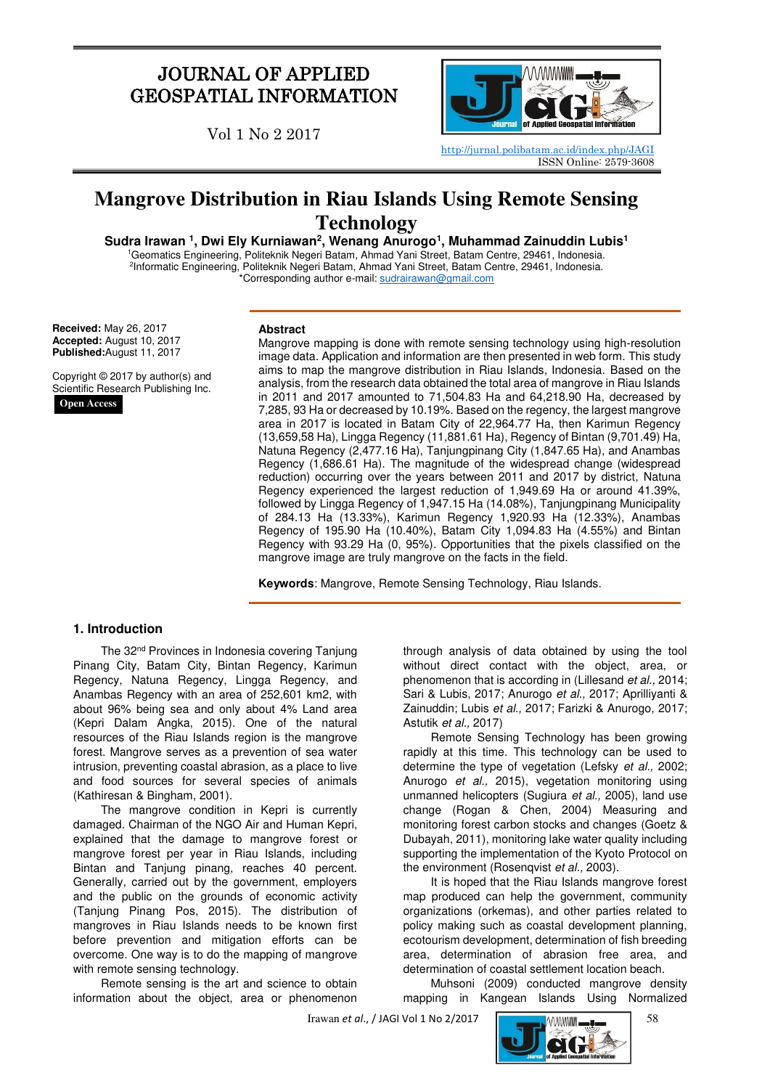## JOURNAL OF APPLIED GEOSPATIAL INFORMATION

Vol 1 No 2 2017



<http://jurnal.polibatam.ac.id/index.php/JAGI> ISSN Online: 2579-3608

# **Mangrove Distribution in Riau Islands Using Remote Sensing Technology**

Sudra Irawan<sup>1</sup>, Dwi Ely Kurniawan<sup>2</sup>, Wenang Anurogo<sup>1</sup>, Muhammad Zainuddin Lubis<sup>1</sup>

<sup>1</sup>Geomatics Engineering, Politeknik Negeri Batam, Ahmad Yani Street, Batam Centre, 29461, Indonesia. 2 Informatic Engineering, Politeknik Negeri Batam, Ahmad Yani Street, Batam Centre, 29461, Indonesia. \*Corresponding author e-mail: [sudrairawan@gmail.com](mailto:sudrairawan@gmail.com)

**Received:** May 26, 2017 **Accepted:** August 10, 2017 **Published:**August 11, 2017

Copyright © 2017 by author(s) and Scientific Research Publishing Inc.

**Open Access**

#### **Abstract**

Mangrove mapping is done with remote sensing technology using high-resolution image data. Application and information are then presented in web form. This study aims to map the mangrove distribution in Riau Islands, Indonesia. Based on the analysis, from the research data obtained the total area of mangrove in Riau Islands in 2011 and 2017 amounted to 71,504.83 Ha and 64,218.90 Ha, decreased by 7,285, 93 Ha or decreased by 10.19%. Based on the regency, the largest mangrove area in 2017 is located in Batam City of 22,964.77 Ha, then Karimun Regency (13,659,58 Ha), Lingga Regency (11,881.61 Ha), Regency of Bintan (9,701.49) Ha, Natuna Regency (2,477.16 Ha), Tanjungpinang City (1,847.65 Ha), and Anambas Regency (1,686.61 Ha). The magnitude of the widespread change (widespread reduction) occurring over the years between 2011 and 2017 by district, Natuna Regency experienced the largest reduction of 1,949.69 Ha or around 41.39%, followed by Lingga Regency of 1,947.15 Ha (14.08%), Tanjungpinang Municipality of 284.13 Ha (13.33%), Karimun Regency 1,920.93 Ha (12.33%), Anambas Regency of 195.90 Ha (10.40%), Batam City 1,094.83 Ha (4.55%) and Bintan Regency with 93.29 Ha (0, 95%). Opportunities that the pixels classified on the mangrove image are truly mangrove on the facts in the field.

**Keywords**: Mangrove, Remote Sensing Technology, Riau Islands.

## **1. Introduction**

The 32<sup>nd</sup> Provinces in Indonesia covering Tanjung Pinang City, Batam City, Bintan Regency, Karimun Regency, Natuna Regency, Lingga Regency, and Anambas Regency with an area of 252,601 km2, with about 96% being sea and only about 4% Land area (Kepri Dalam Angka, 2015). One of the natural resources of the Riau Islands region is the mangrove forest. Mangrove serves as a prevention of sea water intrusion, preventing coastal abrasion, as a place to live and food sources for several species of animals (Kathiresan & Bingham, 2001).

The mangrove condition in Kepri is currently damaged. Chairman of the NGO Air and Human Kepri, explained that the damage to mangrove forest or mangrove forest per year in Riau Islands, including Bintan and Tanjung pinang, reaches 40 percent. Generally, carried out by the government, employers and the public on the grounds of economic activity (Tanjung Pinang Pos, 2015). The distribution of mangroves in Riau Islands needs to be known first before prevention and mitigation efforts can be overcome. One way is to do the mapping of mangrove with remote sensing technology.

Remote sensing is the art and science to obtain information about the object, area or phenomenon through analysis of data obtained by using the tool without direct contact with the object, area, or phenomenon that is according in (Lillesand et al., 2014; Sari & Lubis, 2017; Anurogo et al., 2017; Aprilliyanti & Zainuddin; Lubis et al., 2017; Farizki & Anurogo, 2017; Astutik et al., 2017)

Remote Sensing Technology has been growing rapidly at this time. This technology can be used to determine the type of vegetation (Lefsky et al., 2002; Anurogo et al., 2015), vegetation monitoring using unmanned helicopters (Sugiura et al., 2005), land use change (Rogan & Chen, 2004) Measuring and monitoring forest carbon stocks and changes (Goetz & Dubayah, 2011), monitoring lake water quality including supporting the implementation of the Kyoto Protocol on the environment (Rosenqvist et al., 2003).

It is hoped that the Riau Islands mangrove forest map produced can help the government, community organizations (orkemas), and other parties related to policy making such as coastal development planning, ecotourism development, determination of fish breeding area, determination of abrasion free area, and determination of coastal settlement location beach.

Muhsoni (2009) conducted mangrove density mapping in Kangean Islands Using Normalized

Irawan *et al*., / JAGI Vol 1 No 2/2017 58

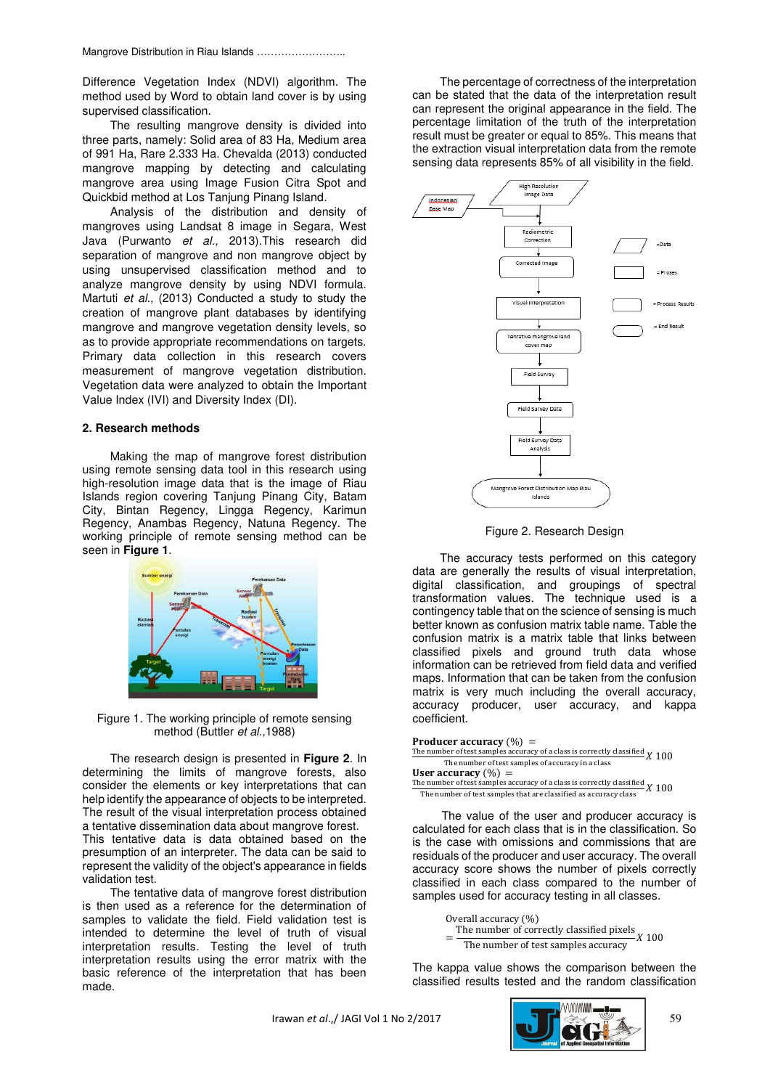Difference Vegetation Index (NDVI) algorithm. The method used by Word to obtain land cover is by using supervised classification.

The resulting mangrove density is divided into three parts, namely: Solid area of 83 Ha, Medium area of 991 Ha, Rare 2.333 Ha. Chevalda (2013) conducted mangrove mapping by detecting and calculating mangrove area using Image Fusion Citra Spot and Quickbid method at Los Tanjung Pinang Island.

Analysis of the distribution and density of mangroves using Landsat 8 image in Segara, West Java (Purwanto et al., 2013). This research did separation of mangrove and non mangrove object by using unsupervised classification method and to analyze mangrove density by using NDVI formula. Martuti et al., (2013) Conducted a study to study the creation of mangrove plant databases by identifying mangrove and mangrove vegetation density levels, so as to provide appropriate recommendations on targets. Primary data collection in this research covers measurement of mangrove vegetation distribution. Vegetation data were analyzed to obtain the Important Value Index (IVI) and Diversity Index (DI).

#### **2. Research methods**

Making the map of mangrove forest distribution using remote sensing data tool in this research using high-resolution image data that is the image of Riau Islands region covering Tanjung Pinang City, Batam City, Bintan Regency, Lingga Regency, Karimun Regency, Anambas Regency, Natuna Regency. The working principle of remote sensing method can be seen in **Figure 1**.



Figure 1. The working principle of remote sensing method (Buttler et al., 1988)

 The research design is presented in **Figure 2**. In determining the limits of mangrove forests, also consider the elements or key interpretations that can help identify the appearance of objects to be interpreted. The result of the visual interpretation process obtained a tentative dissemination data about mangrove forest. This tentative data is data obtained based on the presumption of an interpreter. The data can be said to represent the validity of the object's appearance in fields validation test.

 The tentative data of mangrove forest distribution is then used as a reference for the determination of samples to validate the field. Field validation test is intended to determine the level of truth of visual interpretation results. Testing the level of truth interpretation results using the error matrix with the basic reference of the interpretation that has been made.

 The percentage of correctness of the interpretation can be stated that the data of the interpretation result can represent the original appearance in the field. The percentage limitation of the truth of the interpretation result must be greater or equal to 85%. This means that the extraction visual interpretation data from the remote sensing data represents 85% of all visibility in the field.



Figure 2. Research Design

The accuracy tests performed on this category data are generally the results of visual interpretation, digital classification, and groupings of spectral transformation values. The technique used is a contingency table that on the science of sensing is much better known as confusion matrix table name. Table the confusion matrix is a matrix table that links between classified pixels and ground truth data whose information can be retrieved from field data and verified maps. Information that can be taken from the confusion matrix is very much including the overall accuracy, accuracy producer, user accuracy, and kappa coefficient.

| <b>Producer accuracy</b> $(\%) =$                                                     |  |
|---------------------------------------------------------------------------------------|--|
| The <u>number of test samples accuracy of a class is correctly classified</u> $X$ 100 |  |
| The number of test samples of accuracy in a class                                     |  |
| User accuracy $(\%) =$                                                                |  |
| The number of test samples accuracy of a class is correctly classified $X$ 100        |  |
| The number of test samples that are classified as accuracy class                      |  |

The value of the user and producer accuracy is calculated for each class that is in the classification. So is the case with omissions and commissions that are residuals of the producer and user accuracy. The overall accuracy score shows the number of pixels correctly classified in each class compared to the number of samples used for accuracy testing in all classes.

> Overall accuracy (%) = The number of correctly classified pixels The number of test samples accuracy

The kappa value shows the comparison between the classified results tested and the random classification

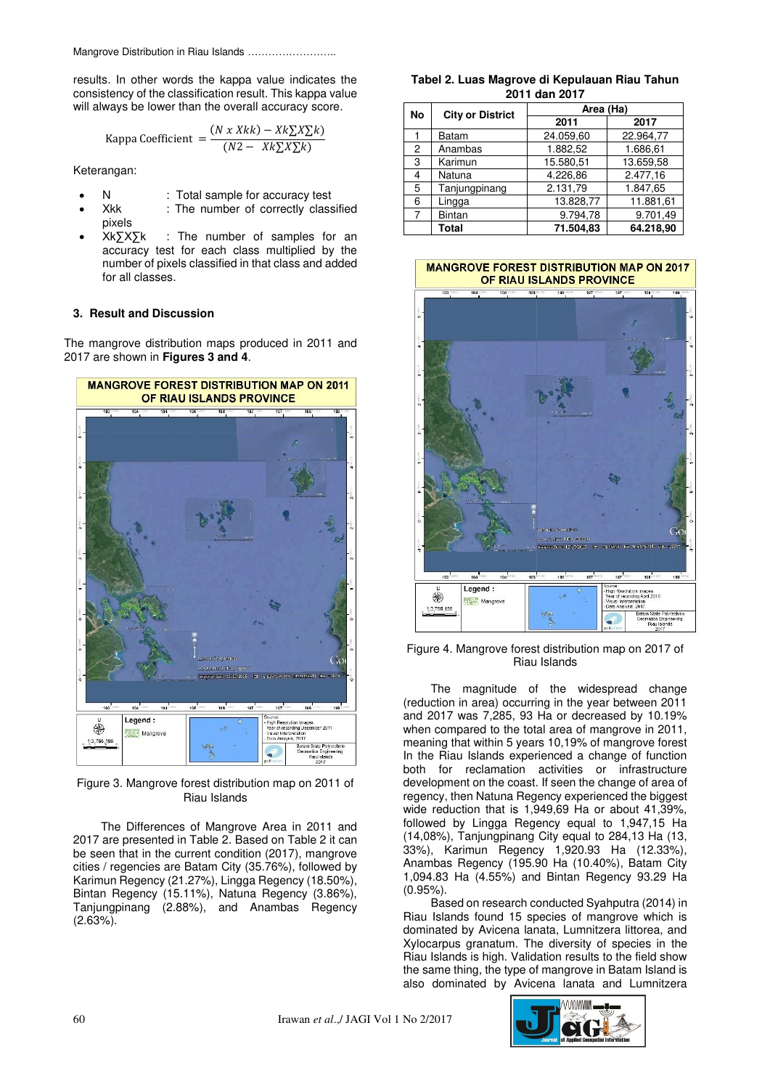Mangrove Distribution in Riau Islands ……………………..

results. In other words the kappa value indicates the consistency of the classification result. This kappa value will always be lower than the overall accuracy score.

Kappa Coefficient = 
$$
\frac{(N x Xkk) - Xk\sum X\sum k}{(N2 - Xk\sum X\sum k)}
$$

Keterangan:

- N : Total sample for accuracy test
- Xkk : The number of correctly classified pixels
- Xk∑X∑k : The number of samples for an accuracy test for each class multiplied by the number of pixels classified in that class and added for all classes.

#### **3. Result and Discussion**

The mangrove distribution maps produced in 2011 and 2017 are shown in **Figures 3 and 4**.



Figure 3. Mangrove forest distribution map on 2011 of Riau Islands

 The Differences of Mangrove Area in 2011 and 2017 are presented in Table 2. Based on Table 2 it can be seen that in the current condition (2017), mangrove cities / regencies are Batam City (35.76%), followed by Karimun Regency (21.27%), Lingga Regency (18.50%), Bintan Regency (15.11%), Natuna Regency (3.86%), Tanjungpinang (2.88%), and Anambas Regency  $(2.63\%)$ .

**Tabel 2. Luas Magrove di Kepulauan Riau Tahun 2011 dan 2017** 

| <b>No</b> | <b>City or District</b> | Area (Ha) |           |  |
|-----------|-------------------------|-----------|-----------|--|
|           |                         | 2011      | 2017      |  |
|           | <b>Batam</b>            | 24.059,60 | 22.964,77 |  |
| 2         | Anambas                 | 1.882,52  | 1.686,61  |  |
| 3         | Karimun                 | 15.580,51 | 13.659,58 |  |
| 4         | Natuna                  | 4.226.86  | 2.477.16  |  |
| 5         | Tanjungpinang           | 2.131,79  | 1.847,65  |  |
| 6         | Lingga                  | 13.828.77 | 11.881,61 |  |
| 7         | <b>Bintan</b>           | 9.794.78  | 9.701,49  |  |
|           | Total                   | 71.504.83 | 64.218,90 |  |

#### **MANGROVE FOREST DISTRIBUTION MAP ON 2017** OF RIAU ISLANDS PROVINCE



Figure 4. Mangrove forest distribution map on 2017 of Riau Islands

The magnitude of the widespread change (reduction in area) occurring in the year between 2011 and 2017 was 7,285, 93 Ha or decreased by 10.19% when compared to the total area of mangrove in 2011, meaning that within 5 years 10,19% of mangrove forest In the Riau Islands experienced a change of function both for reclamation activities or infrastructure development on the coast. If seen the change of area of regency, then Natuna Regency experienced the biggest wide reduction that is 1,949,69 Ha or about 41,39%, followed by Lingga Regency equal to 1,947,15 Ha (14,08%), Tanjungpinang City equal to 284,13 Ha (13, 33%), Karimun Regency 1,920.93 Ha (12.33%), Anambas Regency (195.90 Ha (10.40%), Batam City 1,094.83 Ha (4.55%) and Bintan Regency 93.29 Ha (0.95%).

 Based on research conducted Syahputra (2014) in Riau Islands found 15 species of mangrove which is dominated by Avicena lanata, Lumnitzera littorea, and Xylocarpus granatum. The diversity of species in the Riau Islands is high. Validation results to the field show the same thing, the type of mangrove in Batam Island is also dominated by Avicena lanata and Lumnitzera

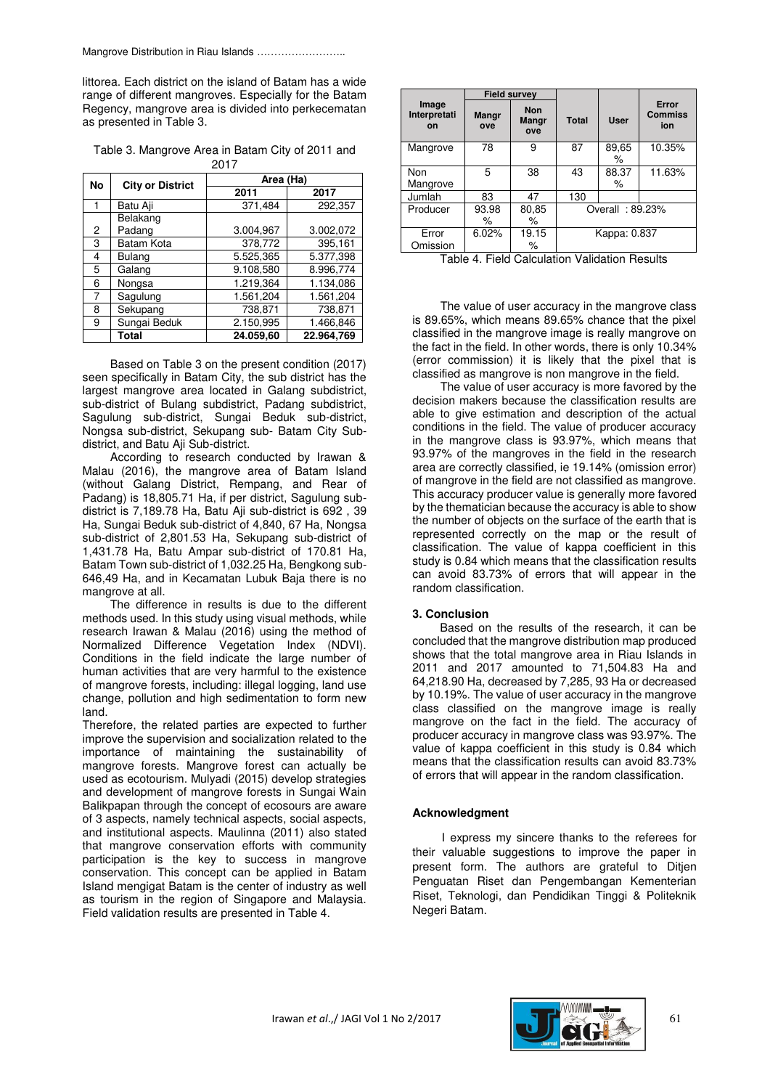littorea. Each district on the island of Batam has a wide range of different mangroves. Especially for the Batam Regency, mangrove area is divided into perkecematan as presented in Table 3.

Table 3. Mangrove Area in Batam City of 2011 and 2017

| No | <b>City or District</b> | Area (Ha) |            |  |
|----|-------------------------|-----------|------------|--|
|    |                         | 2011      | 2017       |  |
|    | Batu Aji                | 371,484   | 292,357    |  |
|    | Belakang                |           |            |  |
| 2  | Padang                  | 3.004,967 | 3.002,072  |  |
| 3  | Batam Kota              | 378,772   | 395,161    |  |
| 4  | <b>Bulang</b>           | 5.525,365 | 5.377,398  |  |
| 5  | Galang                  | 9.108,580 | 8.996,774  |  |
| 6  | Nongsa                  | 1.219.364 | 1.134,086  |  |
| 7  | Sagulung                | 1.561,204 | 1.561,204  |  |
| 8  | Sekupang                | 738,871   | 738,871    |  |
| 9  | Sungai Beduk            | 2.150,995 | 1.466.846  |  |
|    | Total                   | 24.059,60 | 22.964,769 |  |

Based on Table 3 on the present condition (2017) seen specifically in Batam City, the sub district has the largest mangrove area located in Galang subdistrict, sub-district of Bulang subdistrict, Padang subdistrict, Sagulung sub-district, Sungai Beduk sub-district, Nongsa sub-district, Sekupang sub- Batam City Subdistrict, and Batu Aji Sub-district.

According to research conducted by Irawan & Malau (2016), the mangrove area of Batam Island (without Galang District, Rempang, and Rear of Padang) is 18,805.71 Ha, if per district, Sagulung subdistrict is 7,189.78 Ha, Batu Aji sub-district is 692 , 39 Ha, Sungai Beduk sub-district of 4,840, 67 Ha, Nongsa sub-district of 2,801.53 Ha, Sekupang sub-district of 1,431.78 Ha, Batu Ampar sub-district of 170.81 Ha, Batam Town sub-district of 1,032.25 Ha, Bengkong sub-646,49 Ha, and in Kecamatan Lubuk Baja there is no mangrove at all.

The difference in results is due to the different methods used. In this study using visual methods, while research Irawan & Malau (2016) using the method of Normalized Difference Vegetation Index (NDVI). Conditions in the field indicate the large number of human activities that are very harmful to the existence of mangrove forests, including: illegal logging, land use change, pollution and high sedimentation to form new land.

Therefore, the related parties are expected to further improve the supervision and socialization related to the importance of maintaining the sustainability of mangrove forests. Mangrove forest can actually be used as ecotourism. Mulyadi (2015) develop strategies and development of mangrove forests in Sungai Wain Balikpapan through the concept of ecosours are aware of 3 aspects, namely technical aspects, social aspects, and institutional aspects. Maulinna (2011) also stated that mangrove conservation efforts with community participation is the key to success in mangrove conservation. This concept can be applied in Batam Island mengigat Batam is the center of industry as well as tourism in the region of Singapore and Malaysia. Field validation results are presented in Table 4.

|                             | <b>Field survey</b> |                                   |                 |             |                                |
|-----------------------------|---------------------|-----------------------------------|-----------------|-------------|--------------------------------|
| Image<br>Interpretati<br>on | Mangr<br>ove        | <b>Non</b><br><b>Mangr</b><br>ove | <b>Total</b>    | <b>User</b> | Error<br><b>Commiss</b><br>ion |
| Mangrove                    | 78                  | 9                                 | 87              | 89,65<br>℅  | 10.35%                         |
| <b>Non</b><br>Mangrove      | 5                   | 38                                | 43              | 88.37<br>%  | 11.63%                         |
| Jumlah                      | 83                  | 47                                | 130             |             |                                |
| Producer                    | 93.98<br>℅          | 80,85<br>%                        | Overall: 89.23% |             |                                |
| Error<br>Omission           | 6.02%               | 19.15<br>℅                        | Kappa: 0.837    |             |                                |

Table 4. Field Calculation Validation Results

The value of user accuracy in the mangrove class is 89.65%, which means 89.65% chance that the pixel classified in the mangrove image is really mangrove on the fact in the field. In other words, there is only 10.34% (error commission) it is likely that the pixel that is classified as mangrove is non mangrove in the field.

The value of user accuracy is more favored by the decision makers because the classification results are able to give estimation and description of the actual conditions in the field. The value of producer accuracy in the mangrove class is 93.97%, which means that 93.97% of the mangroves in the field in the research area are correctly classified, ie 19.14% (omission error) of mangrove in the field are not classified as mangrove. This accuracy producer value is generally more favored by the thematician because the accuracy is able to show the number of objects on the surface of the earth that is represented correctly on the map or the result of classification. The value of kappa coefficient in this study is 0.84 which means that the classification results can avoid 83.73% of errors that will appear in the random classification.

## **3. Conclusion**

 Based on the results of the research, it can be concluded that the mangrove distribution map produced shows that the total mangrove area in Riau Islands in 2011 and 2017 amounted to 71,504.83 Ha and 64,218.90 Ha, decreased by 7,285, 93 Ha or decreased by 10.19%. The value of user accuracy in the mangrove class classified on the mangrove image is really mangrove on the fact in the field. The accuracy of producer accuracy in mangrove class was 93.97%. The value of kappa coefficient in this study is 0.84 which means that the classification results can avoid 83.73% of errors that will appear in the random classification.

## **Acknowledgment**

I express my sincere thanks to the referees for their valuable suggestions to improve the paper in present form. The authors are grateful to Ditjen Penguatan Riset dan Pengembangan Kementerian Riset, Teknologi, dan Pendidikan Tinggi & Politeknik Negeri Batam.